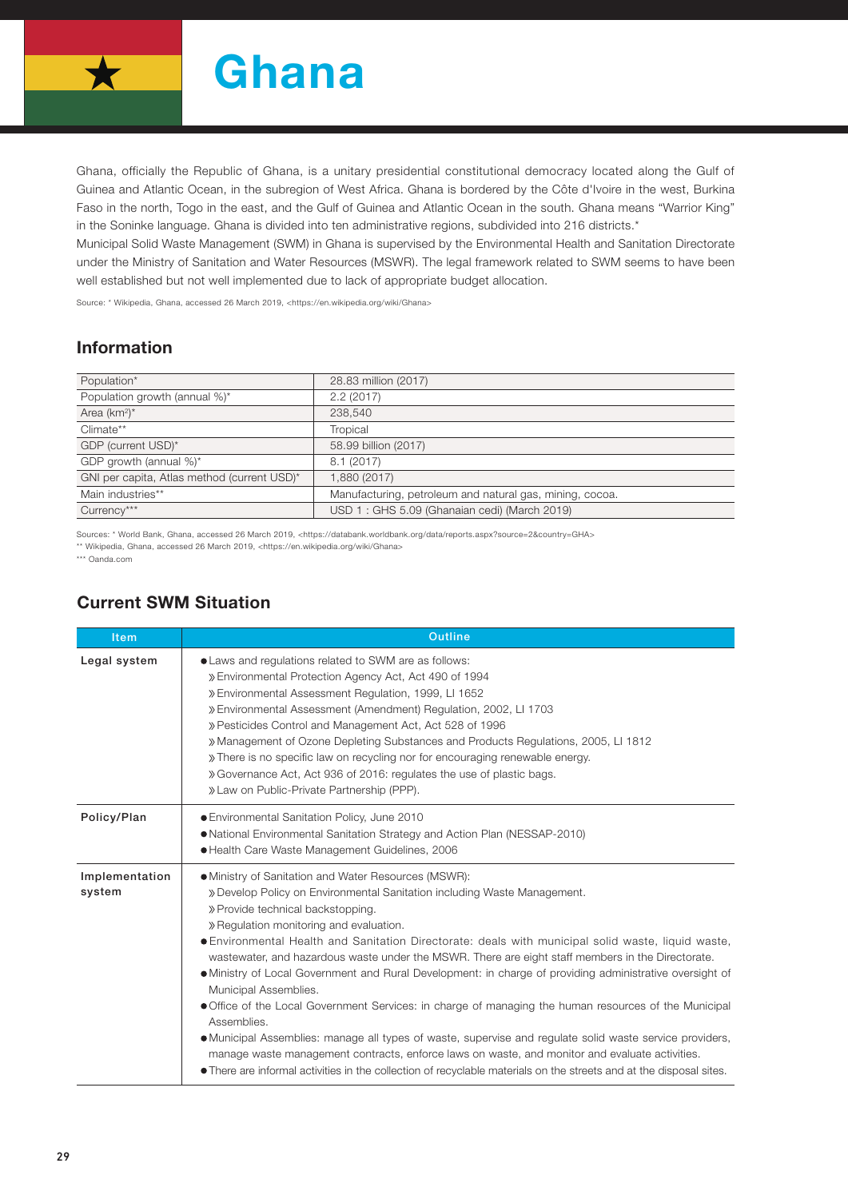

Ghana, officially the Republic of Ghana, is a unitary presidential constitutional democracy located along the Gulf of Guinea and Atlantic Ocean, in the subregion of West Africa. Ghana is bordered by the Côte d'Ivoire in the west, Burkina Faso in the north, Togo in the east, and the Gulf of Guinea and Atlantic Ocean in the south. Ghana means "Warrior King" in the Soninke language. Ghana is divided into ten administrative regions, subdivided into 216 districts.\*

Municipal Solid Waste Management (SWM) in Ghana is supervised by the Environmental Health and Sanitation Directorate under the Ministry of Sanitation and Water Resources (MSWR). The legal framework related to SWM seems to have been well established but not well implemented due to lack of appropriate budget allocation.

Source: \* Wikipedia, Ghana, accessed 26 March 2019, <https://en.wikipedia.org/wiki/Ghana>

## Information

| Population*                                 | 28.83 million (2017)                                     |
|---------------------------------------------|----------------------------------------------------------|
| Population growth (annual %)*               | 2.2(2017)                                                |
| Area $(km^2)^*$                             | 238,540                                                  |
| Climate**                                   | Tropical                                                 |
| GDP (current USD)*                          | 58.99 billion (2017)                                     |
| GDP growth (annual %)*                      | 8.1(2017)                                                |
| GNI per capita, Atlas method (current USD)* | 1,880 (2017)                                             |
| Main industries**                           | Manufacturing, petroleum and natural gas, mining, cocoa. |
| Currency***                                 | USD 1: GHS 5.09 (Ghanaian cedi) (March 2019)             |

Sources: \* World Bank, Ghana, accessed 26 March 2019, <https://databank.worldbank.org/data/reports.aspx?source=2&country=GHA> \*\* Wikipedia, Ghana, accessed 26 March 2019, <https://en.wikipedia.org/wiki/Ghana>

\*\*\* Oanda.com

## Current SWM Situation

| <b>Item</b>              | <b>Outline</b>                                                                                                                                                                                                                                                                                                                                                                                                                                                                                                                                                                                                                                                                                                                                                                                                                                                                                                                                                                                                                |  |  |  |  |
|--------------------------|-------------------------------------------------------------------------------------------------------------------------------------------------------------------------------------------------------------------------------------------------------------------------------------------------------------------------------------------------------------------------------------------------------------------------------------------------------------------------------------------------------------------------------------------------------------------------------------------------------------------------------------------------------------------------------------------------------------------------------------------------------------------------------------------------------------------------------------------------------------------------------------------------------------------------------------------------------------------------------------------------------------------------------|--|--|--|--|
| Legal system             | • Laws and regulations related to SWM are as follows:<br>» Environmental Protection Agency Act, Act 490 of 1994<br>» Environmental Assessment Regulation, 1999, LI 1652<br>» Environmental Assessment (Amendment) Regulation, 2002, LI 1703<br>» Pesticides Control and Management Act, Act 528 of 1996<br>» Management of Ozone Depleting Substances and Products Regulations, 2005, LI 1812<br>» There is no specific law on recycling nor for encouraging renewable energy.<br>» Governance Act, Act 936 of 2016: regulates the use of plastic bags.<br>» Law on Public-Private Partnership (PPP).                                                                                                                                                                                                                                                                                                                                                                                                                         |  |  |  |  |
| Policy/Plan              | ● Environmental Sanitation Policy, June 2010<br>• National Environmental Sanitation Strategy and Action Plan (NESSAP-2010)<br>● Health Care Waste Management Guidelines, 2006                                                                                                                                                                                                                                                                                                                                                                                                                                                                                                                                                                                                                                                                                                                                                                                                                                                 |  |  |  |  |
| Implementation<br>system | • Ministry of Sanitation and Water Resources (MSWR):<br>» Develop Policy on Environmental Sanitation including Waste Management.<br>» Provide technical backstopping.<br>» Regulation monitoring and evaluation.<br>• Environmental Health and Sanitation Directorate: deals with municipal solid waste, liquid waste,<br>wastewater, and hazardous waste under the MSWR. There are eight staff members in the Directorate.<br>. Ministry of Local Government and Rural Development: in charge of providing administrative oversight of<br>Municipal Assemblies.<br>• Office of the Local Government Services: in charge of managing the human resources of the Municipal<br>Assemblies.<br>• Municipal Assemblies: manage all types of waste, supervise and regulate solid waste service providers,<br>manage waste management contracts, enforce laws on waste, and monitor and evaluate activities.<br>• There are informal activities in the collection of recyclable materials on the streets and at the disposal sites. |  |  |  |  |